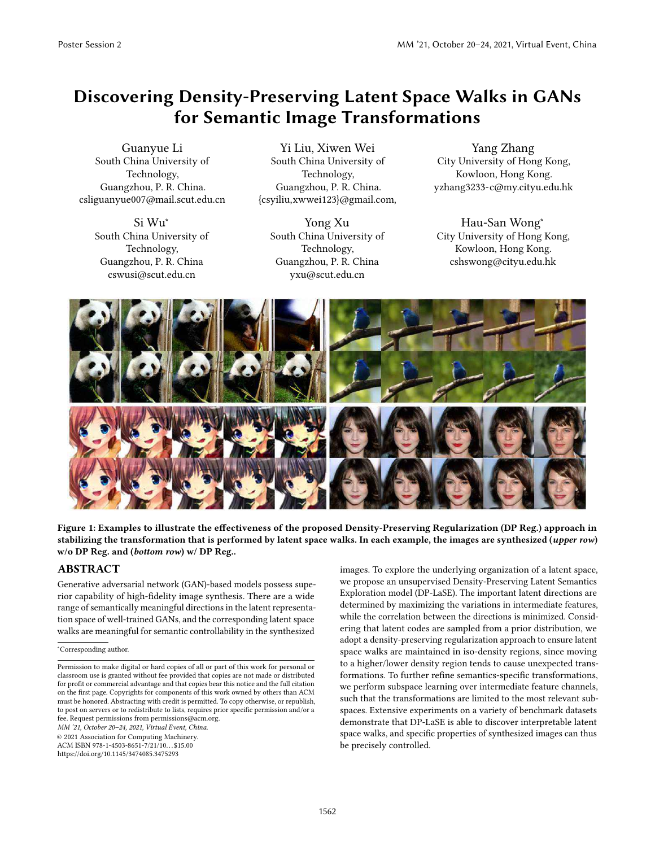# Discovering Density-Preserving Latent Space Walks in GANs for Semantic Image Transformations

Guanyue Li South China University of Technology, Guangzhou, P. R. China. csliguanyue007@mail.scut.edu.cn

> Si Wu<sup>∗</sup> South China University of Technology, Guangzhou, P. R. China cswusi@scut.edu.cn

Yi Liu, Xiwen Wei South China University of Technology, Guangzhou, P. R. China. {csyiliu,xwwei123}@gmail.com,

Yong Xu South China University of Technology, Guangzhou, P. R. China yxu@scut.edu.cn

Yang Zhang City University of Hong Kong, Kowloon, Hong Kong. yzhang3233-c@my.cityu.edu.hk

Hau-San Wong<sup>∗</sup> City University of Hong Kong, Kowloon, Hong Kong. cshswong@cityu.edu.hk



Figure 1: Examples to illustrate the effectiveness of the proposed Density-Preserving Regularization (DP Reg.) approach in stabilizing the transformation that is performed by latent space walks. In each example, the images are synthesized (upper row) w/o DP Reg. and (bottom row) w/ DP Reg..

# ABSTRACT

Generative adversarial network (GAN)-based models possess superior capability of high-fidelity image synthesis. There are a wide range of semantically meaningful directions in the latent representation space of well-trained GANs, and the corresponding latent space walks are meaningful for semantic controllability in the synthesized

<sup>∗</sup>Corresponding author.

*MM '21, October 20–24, 2021, Virtual Event, China.*

© 2021 Association for Computing Machinery.

ACM ISBN 978-1-4503-8651-7/21/10. . . \$15.00 https://doi.org/10.1145/3474085.3475293

images. To explore the underlying organization of a latent space, we propose an unsupervised Density-Preserving Latent Semantics Exploration model (DP-LaSE). The important latent directions are determined by maximizing the variations in intermediate features, while the correlation between the directions is minimized. Considering that latent codes are sampled from a prior distribution, we adopt a density-preserving regularization approach to ensure latent space walks are maintained in iso-density regions, since moving to a higher/lower density region tends to cause unexpected transformations. To further refine semantics-specific transformations, we perform subspace learning over intermediate feature channels, such that the transformations are limited to the most relevant subspaces. Extensive experiments on a variety of benchmark datasets demonstrate that DP-LaSE is able to discover interpretable latent space walks, and specific properties of synthesized images can thus be precisely controlled.

Permission to make digital or hard copies of all or part of this work for personal or classroom use is granted without fee provided that copies are not made or distributed for profit or commercial advantage and that copies bear this notice and the full citation on the first page. Copyrights for components of this work owned by others than ACM must be honored. Abstracting with credit is permitted. To copy otherwise, or republish, to post on servers or to redistribute to lists, requires prior specific permission and/or a fee. Request permissions from permissions@acm.org.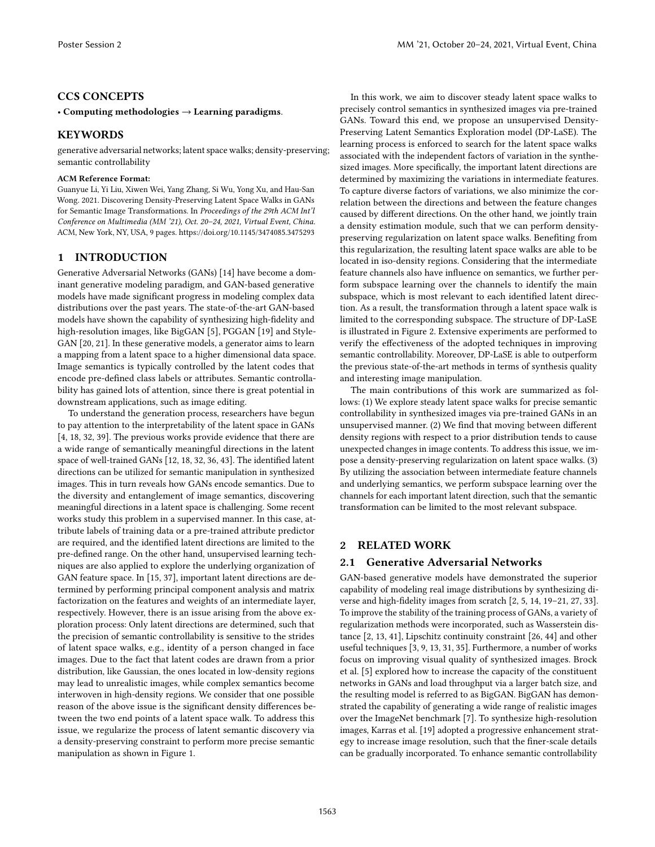# CCS CONCEPTS

#### · Computing methodologies → Learning paradigms.

# KEYWORDS

generative adversarial networks; latent space walks; density-preserving; semantic controllability

#### ACM Reference Format:

Guanyue Li, Yi Liu, Xiwen Wei, Yang Zhang, Si Wu, Yong Xu, and Hau-San Wong. 2021. Discovering Density-Preserving Latent Space Walks in GANs for Semantic Image Transformations. In *Proceedings of the 29th ACM Int'l Conference on Multimedia (MM '21), Oct. 20–24, 2021, Virtual Event, China.* ACM, New York, NY, USA, 9 pages. https://doi.org/10.1145/3474085.3475293

# 1 INTRODUCTION

Generative Adversarial Networks (GANs) [14] have become a dominant generative modeling paradigm, and GAN-based generative models have made significant progress in modeling complex data distributions over the past years. The state-of-the-art GAN-based models have shown the capability of synthesizing high-fidelity and high-resolution images, like BigGAN [5], PGGAN [19] and Style-GAN [20, 21]. In these generative models, a generator aims to learn a mapping from a latent space to a higher dimensional data space. Image semantics is typically controlled by the latent codes that encode pre-defined class labels or attributes. Semantic controllability has gained lots of attention, since there is great potential in downstream applications, such as image editing.

To understand the generation process, researchers have begun to pay attention to the interpretability of the latent space in GANs [4, 18, 32, 39]. The previous works provide evidence that there are a wide range of semantically meaningful directions in the latent space of well-trained GANs [12, 18, 32, 36, 43]. The identified latent directions can be utilized for semantic manipulation in synthesized images. This in turn reveals how GANs encode semantics. Due to the diversity and entanglement of image semantics, discovering meaningful directions in a latent space is challenging. Some recent works study this problem in a supervised manner. In this case, attribute labels of training data or a pre-trained attribute predictor are required, and the identified latent directions are limited to the pre-defined range. On the other hand, unsupervised learning techniques are also applied to explore the underlying organization of GAN feature space. In [15, 37], important latent directions are determined by performing principal component analysis and matrix factorization on the features and weights of an intermediate layer, respectively. However, there is an issue arising from the above exploration process: Only latent directions are determined, such that the precision of semantic controllability is sensitive to the strides of latent space walks, e.g., identity of a person changed in face images. Due to the fact that latent codes are drawn from a prior distribution, like Gaussian, the ones located in low-density regions may lead to unrealistic images, while complex semantics become interwoven in high-density regions. We consider that one possible reason of the above issue is the significant density differences between the two end points of a latent space walk. To address this issue, we regularize the process of latent semantic discovery via a density-preserving constraint to perform more precise semantic manipulation as shown in Figure 1.

In this work, we aim to discover steady latent space walks to precisely control semantics in synthesized images via pre-trained GANs. Toward this end, we propose an unsupervised Density-Preserving Latent Semantics Exploration model (DP-LaSE). The learning process is enforced to search for the latent space walks associated with the independent factors of variation in the synthesized images. More specifically, the important latent directions are determined by maximizing the variations in intermediate features. To capture diverse factors of variations, we also minimize the correlation between the directions and between the feature changes caused by different directions. On the other hand, we jointly train a density estimation module, such that we can perform densitypreserving regularization on latent space walks. Benefiting from this regularization, the resulting latent space walks are able to be located in iso-density regions. Considering that the intermediate feature channels also have influence on semantics, we further perform subspace learning over the channels to identify the main subspace, which is most relevant to each identified latent direction. As a result, the transformation through a latent space walk is limited to the corresponding subspace. The structure of DP-LaSE is illustrated in Figure 2. Extensive experiments are performed to verify the effectiveness of the adopted techniques in improving semantic controllability. Moreover, DP-LaSE is able to outperform the previous state-of-the-art methods in terms of synthesis quality and interesting image manipulation.

The main contributions of this work are summarized as follows: (1) We explore steady latent space walks for precise semantic controllability in synthesized images via pre-trained GANs in an unsupervised manner. (2) We find that moving between different density regions with respect to a prior distribution tends to cause unexpected changes in image contents. To address this issue, we impose a density-preserving regularization on latent space walks. (3) By utilizing the association between intermediate feature channels and underlying semantics, we perform subspace learning over the channels for each important latent direction, such that the semantic transformation can be limited to the most relevant subspace.

# 2 RELATED WORK

# 2.1 Generative Adversarial Networks

GAN-based generative models have demonstrated the superior capability of modeling real image distributions by synthesizing diverse and high-fidelity images from scratch [2, 5, 14, 19-21, 27, 33]. To improve the stability of the training process of GANs, a variety of regularization methods were incorporated, such as Wasserstein distance [2, 13, 41], Lipschitz continuity constraint [26, 44] and other useful techniques [3, 9, 13, 31, 35]. Furthermore, a number of works focus on improving visual quality of synthesized images. Brock et al. [5] explored how to increase the capacity of the constituent networks in GANs and load throughput via a larger batch size, and the resulting model is referred to as BigGAN. BigGAN has demonstrated the capability of generating a wide range of realistic images over the ImageNet benchmark [7]. To synthesize high-resolution images, Karras et al. [19] adopted a progressive enhancement strategy to increase image resolution, such that the finer-scale details can be gradually incorporated. To enhance semantic controllability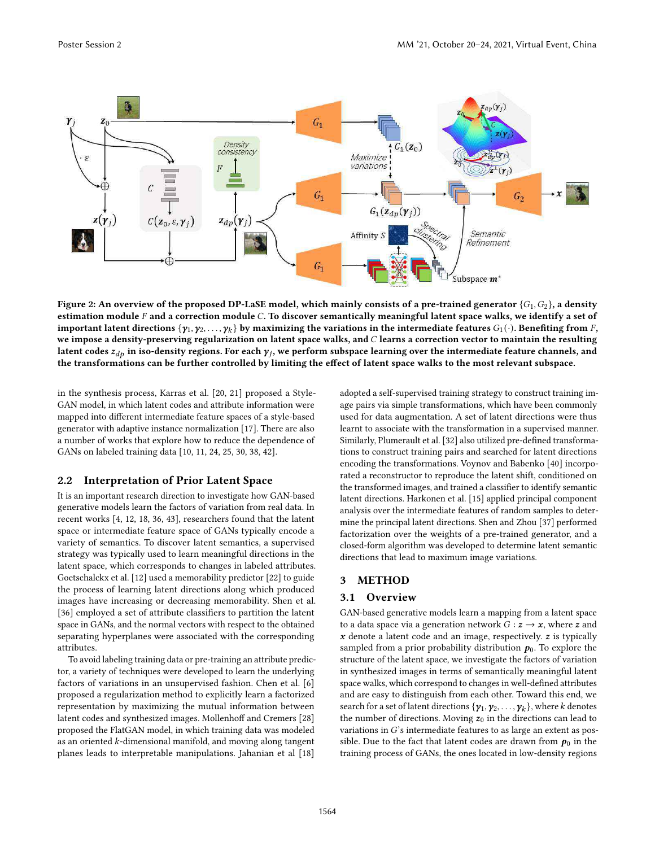

Figure 2: An overview of the proposed DP-LaSE model, which mainly consists of a pre-trained generator  ${G_1, G_2}$ , a density estimation module  $F$  and a correction module  $C$ . To discover semantically meaningful latent space walks, we identify a set of important latent directions  $\{\pmb{\gamma}_1,\pmb{\gamma}_2,\dots,\pmb{\gamma}_k\}$  by maximizing the variations in the intermediate features  $G_1(\cdot)$ . Benefiting from  $F$ , we impose a density-preserving regularization on latent space walks, and  $C$  learns a correction vector to maintain the resulting latent codes  $z_{dp}$  in iso-density regions. For each  $\pmb{\gamma}_j$ , we perform subspace learning over the intermediate feature channels, and the transformations can be further controlled by limiting the effect of latent space walks to the most relevant subspace.

in the synthesis process, Karras et al. [20, 21] proposed a Style-GAN model, in which latent codes and attribute information were mapped into different intermediate feature spaces of a style-based generator with adaptive instance normalization [17]. There are also a number of works that explore how to reduce the dependence of GANs on labeled training data [10, 11, 24, 25, 30, 38, 42].

#### 2.2 Interpretation of Prior Latent Space

It is an important research direction to investigate how GAN-based generative models learn the factors of variation from real data. In recent works [4, 12, 18, 36, 43], researchers found that the latent space or intermediate feature space of GANs typically encode a variety of semantics. To discover latent semantics, a supervised strategy was typically used to learn meaningful directions in the latent space, which corresponds to changes in labeled attributes. Goetschalckx et al. [12] used a memorability predictor [22] to guide the process of learning latent directions along which produced images have increasing or decreasing memorability. Shen et al. [36] employed a set of attribute classifiers to partition the latent space in GANs, and the normal vectors with respect to the obtained separating hyperplanes were associated with the corresponding attributes.

To avoid labeling training data or pre-training an attribute predictor, a variety of techniques were developed to learn the underlying factors of variations in an unsupervised fashion. Chen et al. [6] proposed a regularization method to explicitly learn a factorized representation by maximizing the mutual information between latent codes and synthesized images. Mollenhoff and Cremers [28] proposed the FlatGAN model, in which training data was modeled as an oriented  $k$ -dimensional manifold, and moving along tangent planes leads to interpretable manipulations. Jahanian et al [18]

adopted a self-supervised training strategy to construct training image pairs via simple transformations, which have been commonly used for data augmentation. A set of latent directions were thus learnt to associate with the transformation in a supervised manner. Similarly, Plumerault et al. [32] also utilized pre-defined transformations to construct training pairs and searched for latent directions encoding the transformations. Voynov and Babenko [40] incorporated a reconstructor to reproduce the latent shift, conditioned on the transformed images, and trained a classifier to identify semantic latent directions. Harkonen et al. [15] applied principal component analysis over the intermediate features of random samples to determine the principal latent directions. Shen and Zhou [37] performed factorization over the weights of a pre-trained generator, and a closed-form algorithm was developed to determine latent semantic directions that lead to maximum image variations.

## 3 METHOD

#### 3.1 Overview

GAN-based generative models learn a mapping from a latent space to a data space via a generation network  $G : z \rightarrow x$ , where z and  $x$  denote a latent code and an image, respectively.  $z$  is typically sampled from a prior probability distribution  $p_0$ . To explore the structure of the latent space, we investigate the factors of variation in synthesized images in terms of semantically meaningful latent space walks, which correspond to changes in well-defined attributes and are easy to distinguish from each other. Toward this end, we search for a set of latent directions  $\{\pmb{\gamma}_1,\pmb{\gamma}_2,\ldots,\pmb{\gamma}_k\},$  where  $k$  denotes the number of directions. Moving  $z_0$  in the directions can lead to variations in  $G$ 's intermediate features to as large an extent as possible. Due to the fact that latent codes are drawn from  $p_0$  in the training process of GANs, the ones located in low-density regions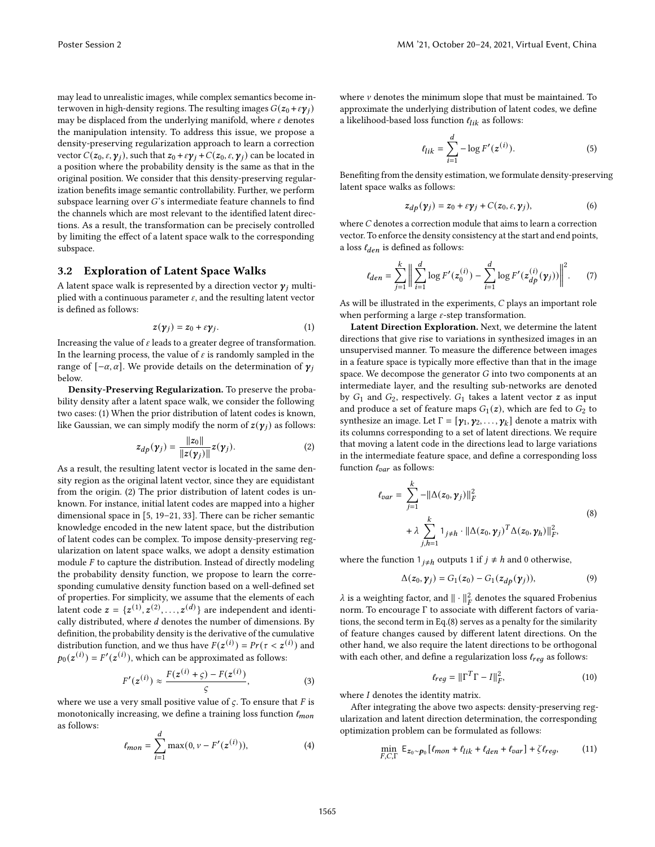may lead to unrealistic images, while complex semantics become interwoven in high-density regions. The resulting images  $G(z_0 + \varepsilon y_i)$ may be displaced from the underlying manifold, where  $\varepsilon$  denotes the manipulation intensity. To address this issue, we propose a density-preserving regularization approach to learn a correction vector  $C(z_0,\varepsilon,\gamma_i)$ , such that  $z_0 + \varepsilon \gamma_i + C(z_0,\varepsilon,\gamma_i)$  can be located in a position where the probability density is the same as that in the original position. We consider that this density-preserving regularization benefits image semantic controllability. Further, we perform subspace learning over  $G$ 's intermediate feature channels to find the channels which are most relevant to the identified latent directions. As a result, the transformation can be precisely controlled by limiting the effect of a latent space walk to the corresponding subspace.

## 3.2 Exploration of Latent Space Walks

A latent space walk is represented by a direction vector  $\gamma_i$  multiplied with a continuous parameter  $\varepsilon$ , and the resulting latent vector is defined as follows:

$$
z(\gamma_j) = z_0 + \varepsilon \gamma_j. \tag{1}
$$

Increasing the value of  $\varepsilon$  leads to a greater degree of transformation. In the learning process, the value of  $\varepsilon$  is randomly sampled in the range of  $[-\alpha, \alpha]$ . We provide details on the determination of  $\gamma_i$ below.

Density-Preserving Regularization. To preserve the probability density after a latent space walk, we consider the following two cases: (1) When the prior distribution of latent codes is known, like Gaussian, we can simply modify the norm of  $z(y_i)$  as follows:

$$
z_{dp}(\gamma_j) = \frac{\|z_0\|}{\|z(\gamma_j)\|} z(\gamma_j). \tag{2}
$$

As a result, the resulting latent vector is located in the same density region as the original latent vector, since they are equidistant from the origin. (2) The prior distribution of latent codes is unknown. For instance, initial latent codes are mapped into a higher dimensional space in  $[5, 19-21, 33]$ . There can be richer semantic knowledge encoded in the new latent space, but the distribution of latent codes can be complex. To impose density-preserving regularization on latent space walks, we adopt a density estimation module  $F$  to capture the distribution. Instead of directly modeling the probability density function, we propose to learn the corresponding cumulative density function based on a well-defined set of properties. For simplicity, we assume that the elements of each latent code  $\mathbf{z} = \{ \mathbf{z}^{(1)}, \mathbf{z}^{(2)}, \ldots, \mathbf{z}^{(d)} \}$  are independent and identically distributed, where  $d$  denotes the number of dimensions. By definition, the probability density is the derivative of the cumulative distribution function, and we thus have  $F(z^{(i)}) = Pr(\tau < z^{(i)})$  and  $p_0(\mathbf{z}^{(i)}) = F'(\mathbf{z}^{(i)}),$  which can be approximated as follows:

$$
F'(z^{(i)}) \approx \frac{F(z^{(i)} + \varsigma) - F(z^{(i)})}{\varsigma},
$$
 (3)

where we use a very small positive value of  $\varsigma$ . To ensure that F is monotonically increasing, we define a training loss function  $\ell_{mon}$ as follows:

$$
\ell_{mon} = \sum_{i=1}^{d} \max(0, \nu - F'(z^{(i)})),
$$
 (4)

where  $\nu$  denotes the minimum slope that must be maintained. To approximate the underlying distribution of latent codes, we define a likelihood-based loss function  $t_{lik}$  as follows:

$$
\ell_{lik} = \sum_{i=1}^{d} -\log F'(z^{(i)}).
$$
 (5)

Benefiting from the density estimation, we formulate density-preserving latent space walks as follows:

$$
z_{dp}(\gamma_j) = z_0 + \varepsilon \gamma_j + C(z_0, \varepsilon, \gamma_j), \qquad (6)
$$

where  $C$  denotes a correction module that aims to learn a correction vector. To enforce the density consistency at the start and end points, a loss  $\ell_{den}$  is defined as follows:

$$
\ell_{den} = \sum_{j=1}^{k} \left\| \sum_{i=1}^{d} \log F'(z_0^{(i)}) - \sum_{i=1}^{d} \log F'(z_{dp}^{(i)}(\gamma_j)) \right\|^2.
$$
 (7)

As will be illustrated in the experiments,  $C$  plays an important role when performing a large  $\varepsilon$ -step transformation.

Latent Direction Exploration. Next, we determine the latent directions that give rise to variations in synthesized images in an unsupervised manner. To measure the difference between images in a feature space is typically more effective than that in the image space. We decompose the generator  $G$  into two components at an intermediate layer, and the resulting sub-networks are denoted by  $G_1$  and  $G_2$ , respectively.  $G_1$  takes a latent vector z as input and produce a set of feature maps  $G_1(z)$ , which are fed to  $G_2$  to synthesize an image. Let Γ =  $[\gamma_1, \gamma_2, \ldots, \gamma_k]$  denote a matrix with its columns corresponding to a set of latent directions. We require that moving a latent code in the directions lead to large variations in the intermediate feature space, and define a corresponding loss function  $\ell_{var}$  as follows:

$$
\ell_{var} = \sum_{j=1}^{k} -||\Delta(z_0, \mathbf{y}_j)||_F^2
$$
  
+  $\lambda \sum_{j,h=1}^{k} 1_{j \neq h} \cdot ||\Delta(z_0, \mathbf{y}_j)^T \Delta(z_0, \mathbf{y}_h)||_F^2,$  (8)

where the function  $1_{i \neq h}$  outputs 1 if  $j \neq h$  and 0 otherwise,

$$
\Delta(z_0, \gamma_j) = G_1(z_0) - G_1(z_{dp}(\gamma_j)),\tag{9}
$$

 $λ$  is a weighting factor, and  $\| \cdot \|_F^2$  denotes the squared Frobenius norm. To encourage Γ to associate with different factors of variations, the second term in Eq.(8) serves as a penalty for the similarity of feature changes caused by different latent directions. On the other hand, we also require the latent directions to be orthogonal with each other, and define a regularization loss  $\ell_{reg}$  as follows:

$$
\ell_{reg} = \|\Gamma^T \Gamma - I\|_F^2,\tag{10}
$$

where  $\boldsymbol{I}$  denotes the identity matrix.

After integrating the above two aspects: density-preserving regularization and latent direction determination, the corresponding optimization problem can be formulated as follows:

$$
\min_{F,C,\Gamma}\; \mathsf{E}_{z_0 \sim p_0}\left[\ell_{mon} + \ell_{lik} + \ell_{den} + \ell_{var}\right] + \zeta \ell_{reg}, \eqno(11)
$$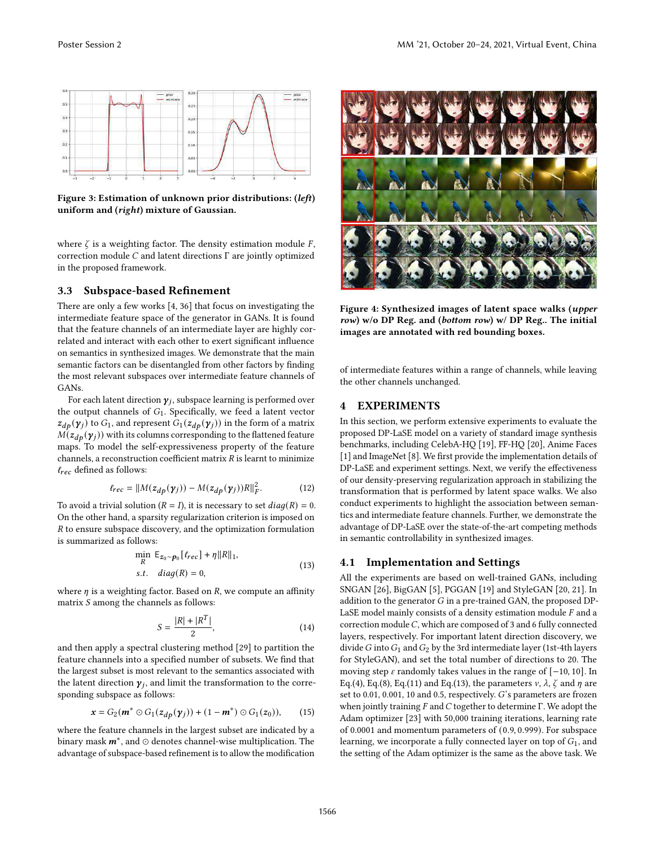

Figure 3: Estimation of unknown prior distributions: (left) uniform and (right) mixture of Gaussian.

where  $\zeta$  is a weighting factor. The density estimation module  $F$ , correction module  $C$  and latent directions  $\Gamma$  are jointly optimized in the proposed framework.

#### 3.3 Subspace-based Refinement

There are only a few works [4, 36] that focus on investigating the intermediate feature space of the generator in GANs. It is found that the feature channels of an intermediate layer are highly correlated and interact with each other to exert significant influence on semantics in synthesized images. We demonstrate that the main semantic factors can be disentangled from other factors by finding the most relevant subspaces over intermediate feature channels of GANs.

For each latent direction  $\pmb{\gamma}_j$ , subspace learning is performed over the output channels of  $G_1$ . Specifically, we feed a latent vector  $z_{dp}(\gamma_j)$  to  $G_1$ , and represent  $G_1(z_{dp}(\gamma_j))$  in the form of a matrix  $M(z_{dp}(\gamma_j))$  with its columns corresponding to the flattened feature maps. To model the self-expressiveness property of the feature channels, a reconstruction coefficient matrix  $R$  is learnt to minimize  $\ell_{rec}$  defined as follows:

$$
\ell_{rec} = ||M(z_{dp}(\mathbf{y}_j)) - M(z_{dp}(\mathbf{y}_j))R||_F^2.
$$
 (12)

To avoid a trivial solution ( $R = I$ ), it is necessary to set  $diag(R) = 0$ . On the other hand, a sparsity regularization criterion is imposed on  $R$  to ensure subspace discovery, and the optimization formulation is summarized as follows:

$$
\min_{R} \mathsf{E}_{z_0 \sim p_0} [f_{rec}] + \eta ||R||_1,
$$
  
s.t. diag(R) = 0, (13)

where  $\eta$  is a weighting factor. Based on  $R$ , we compute an affinity matrix  $S$  among the channels as follows:

$$
S = \frac{|R| + |R^T|}{2},
$$
\n(14)

and then apply a spectral clustering method [29] to partition the feature channels into a specified number of subsets. We find that the largest subset is most relevant to the semantics associated with the latent direction  $\pmb{\gamma}_j$ , and limit the transformation to the corresponding subspace as follows:

$$
x = G_2(m^* \odot G_1(z_{dp}(\gamma_j)) + (1 - m^*) \odot G_1(z_0)), \qquad (15)
$$

where the feature channels in the largest subset are indicated by a binary mask  $m^*$ , and  $\odot$  denotes channel-wise multiplication. The advantage of subspace-based refinement is to allow the modification



Figure 4: Synthesized images of latent space walks (upper row) w/o DP Reg. and (bottom row) w/ DP Reg.. The initial images are annotated with red bounding boxes.

of intermediate features within a range of channels, while leaving the other channels unchanged.

## 4 EXPERIMENTS

In this section, we perform extensive experiments to evaluate the proposed DP-LaSE model on a variety of standard image synthesis benchmarks, including CelebA-HQ [19], FF-HQ [20], Anime Faces [1] and ImageNet [8]. We first provide the implementation details of DP-LaSE and experiment settings. Next, we verify the effectiveness of our density-preserving regularization approach in stabilizing the transformation that is performed by latent space walks. We also conduct experiments to highlight the association between semantics and intermediate feature channels. Further, we demonstrate the advantage of DP-LaSE over the state-of-the-art competing methods in semantic controllability in synthesized images.

## 4.1 Implementation and Settings

All the experiments are based on well-trained GANs, including SNGAN [26], BigGAN [5], PGGAN [19] and StyleGAN [20, 21]. In addition to the generator  $G$  in a pre-trained GAN, the proposed DP-LaSE model mainly consists of a density estimation module  $F$  and a correction module  $C$ , which are composed of 3 and 6 fully connected layers, respectively. For important latent direction discovery, we divide G into  $G_1$  and  $G_2$  by the 3rd intermediate layer (1st-4th layers for StyleGAN), and set the total number of directions to 20. The moving step  $\varepsilon$  randomly takes values in the range of [−10, 10]. In Eq.(4), Eq.(8), Eq.(11) and Eq.(13), the parameters  $v$ ,  $\lambda$ ,  $\zeta$  and  $\eta$  are set to  $0.01$ ,  $0.001$ ,  $10$  and  $0.5$ , respectively.  $G$ 's parameters are frozen when jointly training  $F$  and  $C$  together to determine  $\Gamma$ . We adopt the Adam optimizer [23] with 50,000 training iterations, learning rate of 0.0001 and momentum parameters of (0.9, 0.999). For subspace learning, we incorporate a fully connected layer on top of  $G_1$ , and the setting of the Adam optimizer is the same as the above task. We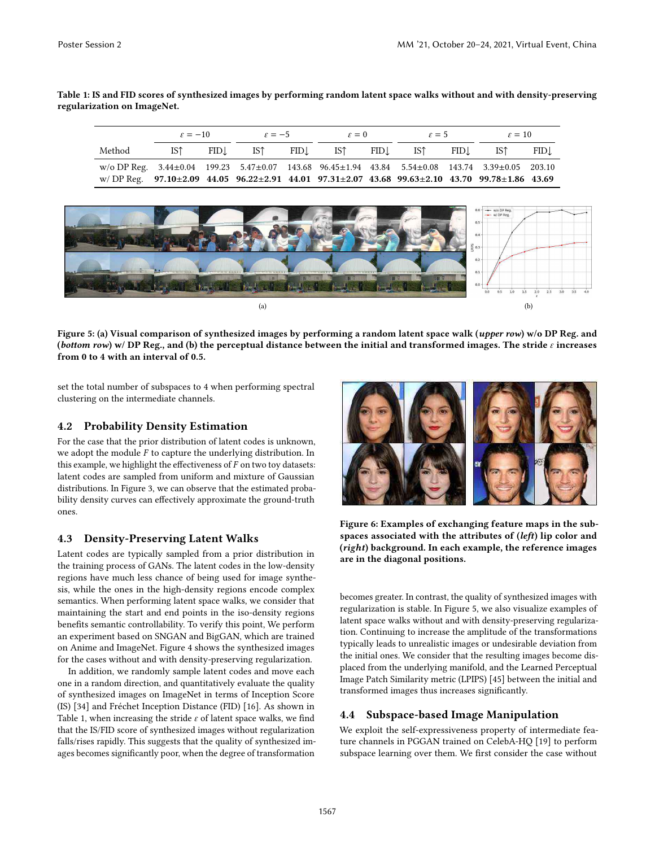Table 1: IS and FID scores of synthesized images by performing random latent space walks without and with density-preserving regularization on ImageNet.

|                                                                                                                                | $\varepsilon = -10$ |       | $\varepsilon = -5$ |       | $\varepsilon = 0$ |  | $\varepsilon = 5$ |     | $\varepsilon = 10$ |      |
|--------------------------------------------------------------------------------------------------------------------------------|---------------------|-------|--------------------|-------|-------------------|--|-------------------|-----|--------------------|------|
| Method                                                                                                                         | IST -               | FID.L | IS <sup>†</sup>    | FID.L | IST FID.          |  | IST <sub>1</sub>  | FID | IST <sup>1</sup>   | FID. |
| w/o DP Reg. $3.44 \pm 0.04$ 199.23 $5.47 \pm 0.07$ 143.68 $96.45 \pm 1.94$ 43.84 $5.54 \pm 0.08$ 143.74 $3.39 \pm 0.05$ 203.10 |                     |       |                    |       |                   |  |                   |     |                    |      |
| w/DP Reg. $97.10 \pm 2.09$ 44.05 $96.22 \pm 2.91$ 44.01 $97.31 \pm 2.07$ 43.68 $99.63 \pm 2.10$ 43.70 $99.78 \pm 1.86$ 43.69   |                     |       |                    |       |                   |  |                   |     |                    |      |



Figure 5: (a) Visual comparison of synthesized images by performing a random latent space walk (upper row) w/o DP Reg. and (bottom row) w/ DP Reg., and (b) the perceptual distance between the initial and transformed images. The stride  $\varepsilon$  increases from 0 to 4 with an interval of 0.5.

set the total number of subspaces to 4 when performing spectral clustering on the intermediate channels.

# 4.2 Probability Density Estimation

For the case that the prior distribution of latent codes is unknown, we adopt the module  $F$  to capture the underlying distribution. In this example, we highlight the effectiveness of  $F$  on two toy datasets: latent codes are sampled from uniform and mixture of Gaussian distributions. In Figure 3, we can observe that the estimated probability density curves can effectively approximate the ground-truth ones.

## 4.3 Density-Preserving Latent Walks

Latent codes are typically sampled from a prior distribution in the training process of GANs. The latent codes in the low-density regions have much less chance of being used for image synthesis, while the ones in the high-density regions encode complex semantics. When performing latent space walks, we consider that maintaining the start and end points in the iso-density regions benefits semantic controllability. To verify this point, We perform an experiment based on SNGAN and BigGAN, which are trained on Anime and ImageNet. Figure 4 shows the synthesized images for the cases without and with density-preserving regularization.

In addition, we randomly sample latent codes and move each one in a random direction, and quantitatively evaluate the quality of synthesized images on ImageNet in terms of Inception Score (IS) [34] and Fréchet Inception Distance (FID) [16]. As shown in Table 1, when increasing the stride  $\varepsilon$  of latent space walks, we find that the IS/FID score of synthesized images without regularization falls/rises rapidly. This suggests that the quality of synthesized images becomes significantly poor, when the degree of transformation



Figure 6: Examples of exchanging feature maps in the subspaces associated with the attributes of (left) lip color and (right) background. In each example, the reference images are in the diagonal positions.

becomes greater. In contrast, the quality of synthesized images with regularization is stable. In Figure 5, we also visualize examples of latent space walks without and with density-preserving regularization. Continuing to increase the amplitude of the transformations typically leads to unrealistic images or undesirable deviation from the initial ones. We consider that the resulting images become displaced from the underlying manifold, and the Learned Perceptual Image Patch Similarity metric (LPIPS) [45] between the initial and transformed images thus increases significantly.

# 4.4 Subspace-based Image Manipulation

We exploit the self-expressiveness property of intermediate feature channels in PGGAN trained on CelebA-HQ [19] to perform subspace learning over them. We first consider the case without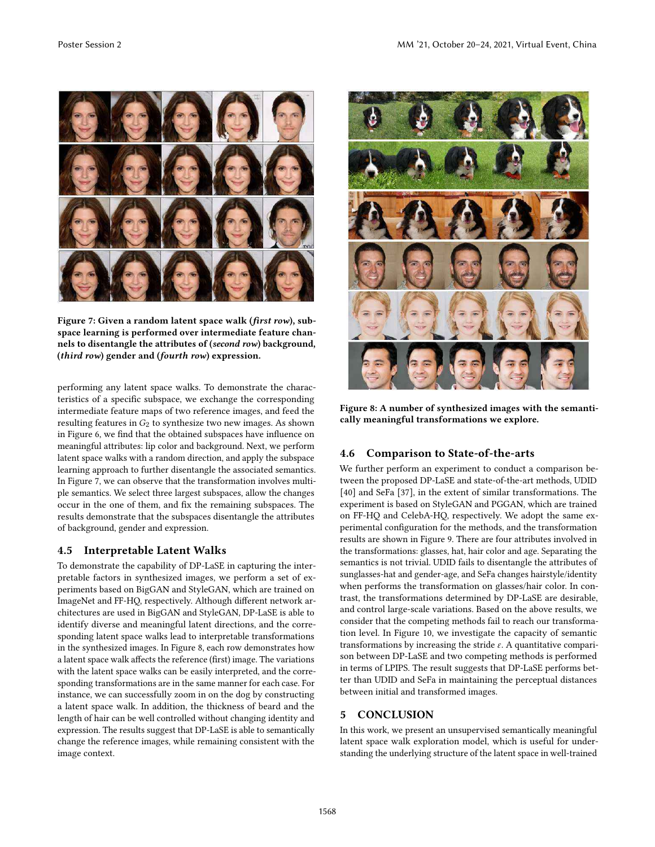

Figure 7: Given a random latent space walk (first row), subspace learning is performed over intermediate feature channels to disentangle the attributes of (second row) background, (third row) gender and (fourth row) expression.

performing any latent space walks. To demonstrate the characteristics of a specific subspace, we exchange the corresponding intermediate feature maps of two reference images, and feed the resulting features in  $G_2$  to synthesize two new images. As shown in Figure 6, we find that the obtained subspaces have influence on meaningful attributes: lip color and background. Next, we perform latent space walks with a random direction, and apply the subspace learning approach to further disentangle the associated semantics. In Figure 7, we can observe that the transformation involves multiple semantics. We select three largest subspaces, allow the changes occur in the one of them, and fix the remaining subspaces. The results demonstrate that the subspaces disentangle the attributes of background, gender and expression.

# 4.5 Interpretable Latent Walks

To demonstrate the capability of DP-LaSE in capturing the interpretable factors in synthesized images, we perform a set of experiments based on BigGAN and StyleGAN, which are trained on ImageNet and FF-HQ, respectively. Although different network architectures are used in BigGAN and StyleGAN, DP-LaSE is able to identify diverse and meaningful latent directions, and the corresponding latent space walks lead to interpretable transformations in the synthesized images. In Figure 8, each row demonstrates how a latent space walk affects the reference (first) image. The variations with the latent space walks can be easily interpreted, and the corresponding transformations are in the same manner for each case. For instance, we can successfully zoom in on the dog by constructing a latent space walk. In addition, the thickness of beard and the length of hair can be well controlled without changing identity and expression. The results suggest that DP-LaSE is able to semantically change the reference images, while remaining consistent with the image context.



Figure 8: A number of synthesized images with the semantically meaningful transformations we explore.

# 4.6 Comparison to State-of-the-arts

We further perform an experiment to conduct a comparison between the proposed DP-LaSE and state-of-the-art methods, UDID [40] and SeFa [37], in the extent of similar transformations. The experiment is based on StyleGAN and PGGAN, which are trained on FF-HQ and CelebA-HQ, respectively. We adopt the same experimental configuration for the methods, and the transformation results are shown in Figure 9. There are four attributes involved in the transformations: glasses, hat, hair color and age. Separating the semantics is not trivial. UDID fails to disentangle the attributes of sunglasses-hat and gender-age, and SeFa changes hairstyle/identity when performs the transformation on glasses/hair color. In contrast, the transformations determined by DP-LaSE are desirable, and control large-scale variations. Based on the above results, we consider that the competing methods fail to reach our transformation level. In Figure 10, we investigate the capacity of semantic transformations by increasing the stride  $\varepsilon$ . A quantitative comparison between DP-LaSE and two competing methods is performed in terms of LPIPS. The result suggests that DP-LaSE performs better than UDID and SeFa in maintaining the perceptual distances between initial and transformed images.

# 5 CONCLUSION

In this work, we present an unsupervised semantically meaningful latent space walk exploration model, which is useful for understanding the underlying structure of the latent space in well-trained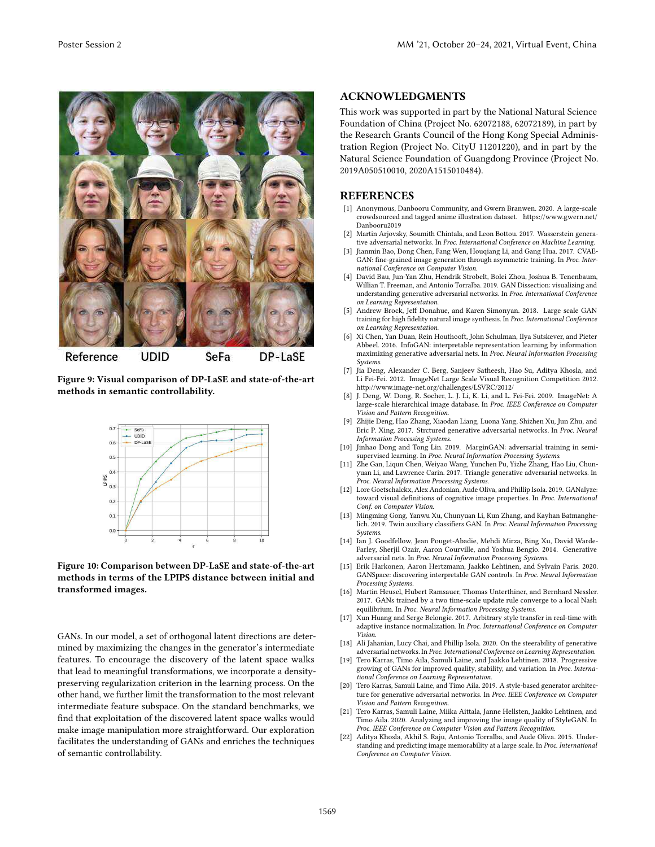

Figure 9: Visual comparison of DP-LaSE and state-of-the-art methods in semantic controllability.



Figure 10: Comparison between DP-LaSE and state-of-the-art methods in terms of the LPIPS distance between initial and transformed images.

GANs. In our model, a set of orthogonal latent directions are determined by maximizing the changes in the generator's intermediate features. To encourage the discovery of the latent space walks that lead to meaningful transformations, we incorporate a densitypreserving regularization criterion in the learning process. On the other hand, we further limit the transformation to the most relevant intermediate feature subspace. On the standard benchmarks, we find that exploitation of the discovered latent space walks would make image manipulation more straightforward. Our exploration facilitates the understanding of GANs and enriches the techniques of semantic controllability.

## ACKNOWLEDGMENTS

This work was supported in part by the National Natural Science Foundation of China (Project No. 62072188, 62072189), in part by the Research Grants Council of the Hong Kong Special Administration Region (Project No. CityU 11201220), and in part by the Natural Science Foundation of Guangdong Province (Project No. 2019A050510010, 2020A1515010484).

#### REFERENCES

- [1] Anonymous, Danbooru Community, and Gwern Branwen. 2020. A large-scale crowdsourced and tagged anime illustration dataset. https://www.gwern.net/ Danbooru2019
- Martin Arjovsky, Soumith Chintala, and Leon Bottou. 2017. Wasserstein generative adversarial networks. In *Proc. International Conference on Machine Learning*.
- [3] Jianmin Bao, Dong Chen, Fang Wen, Houqiang Li, and Gang Hua. 2017. CVAE-GAN: fine-grained image generation through asymmetric training. In *Proc. International Conference on Computer Vision*.
- [4] David Bau, Jun-Yan Zhu, Hendrik Strobelt, Bolei Zhou, Joshua B. Tenenbaum, Willian T. Freeman, and Antonio Torralba. 2019. GAN Dissection: visualizing and understanding generative adversarial networks. In *Proc. International Conference on Learning Representation*.
- [5] Andrew Brock, Jeff Donahue, and Karen Simonyan. 2018. Large scale GAN training for high fidelity natural image synthesis. In *Proc. International Conference on Learning Representation*.
- [6] Xi Chen, Yan Duan, Rein Houthooft, John Schulman, Ilya Sutskever, and Pieter Abbeel. 2016. InfoGAN: interpretable representation learning by information maximizing generative adversarial nets. In *Proc. Neural Information Processing Systems*.
- [7] Jia Deng, Alexander C. Berg, Sanjeev Satheesh, Hao Su, Aditya Khosla, and Li Fei-Fei. 2012. ImageNet Large Scale Visual Recognition Competition 2012. http://www.image-net.org/challenges/LSVRC/2012/
- [8] J. Deng, W. Dong, R. Socher, L. J. Li, K. Li, and L. Fei-Fei. 2009. ImageNet: A large-scale hierarchical image database. In *Proc. IEEE Conference on Computer Vision and Pattern Recognition*.
- [9] Zhijie Deng, Hao Zhang, Xiaodan Liang, Luona Yang, Shizhen Xu, Jun Zhu, and Eric P. Xing. 2017. Strctured generative adversarial networks. In *Proc. Neural Information Processing Systems*.
- [10] Jinhao Dong and Tong Lin. 2019. MarginGAN: adversarial training in semisupervised learning. In *Proc. Neural Information Processing Systems*.
- [11] Zhe Gan, Liqun Chen, Weiyao Wang, Yunchen Pu, Yizhe Zhang, Hao Liu, Chunyuan Li, and Lawrence Carin. 2017. Triangle generative adversarial networks. In *Proc. Neural Information Processing Systems*.
- [12] Lore Goetschalckx, Alex Andonian, Aude Oliva, and Phillip Isola. 2019. GANalyze: toward visual definitions of cognitive image properties. In *Proc. International Conf. on Computer Vision*.
- [13] Mingming Gong, Yanwu Xu, Chunyuan Li, Kun Zhang, and Kayhan Batmanghelich. 2019. Twin auxiliary classifiers GAN. In *Proc. Neural Information Processing Systems*.
- [14] Ian J. Goodfellow, Jean Pouget-Abadie, Mehdi Mirza, Bing Xu, David Warde-Farley, Sherjil Ozair, Aaron Courville, and Yoshua Bengio. 2014. Generative adversarial nets. In *Proc. Neural Information Processing Systems*.
- [15] Erik Harkonen, Aaron Hertzmann, Jaakko Lehtinen, and Sylvain Paris. 2020. GANSpace: discovering interpretable GAN controls. In *Proc. Neural Information Processing Systems*.
- [16] Martin Heusel, Hubert Ramsauer, Thomas Unterthiner, and Bernhard Nessler. 2017. GANs trained by a two time-scale update rule converge to a local Nash equilibrium. In *Proc. Neural Information Processing Systems*.
- [17] Xun Huang and Serge Belongie. 2017. Arbitrary style transfer in real-time with adaptive instance normalization. In *Proc. International Conference on Computer Vision*.
- [18] Ali Jahanian, Lucy Chai, and Phillip Isola. 2020. On the steerability of generative adversarial networks. In *Proc. International Conference on Learning Representation*.
- [19] Tero Karras, Timo Aila, Samuli Laine, and Jaakko Lehtinen. 2018. Progressive growing of GANs for improved quality, stability, and variation. In *Proc. International Conference on Learning Representation*.
- [20] Tero Karras, Samuli Laine, and Timo Aila. 2019. A style-based generator architecture for generative adversarial networks. In *Proc. IEEE Conference on Computer Vision and Pattern Recognition*.
- [21] Tero Karras, Samuli Laine, Miika Aittala, Janne Hellsten, Jaakko Lehtinen, and Timo Aila. 2020. Analyzing and improving the image quality of StyleGAN. In *Proc. IEEE Conference on Computer Vision and Pattern Recognition*.
- [22] Aditya Khosla, Akhil S. Raju, Antonio Torralba, and Aude Oliva. 2015. Understanding and predicting image memorability at a large scale. In *Proc. International Conference on Computer Vision*.